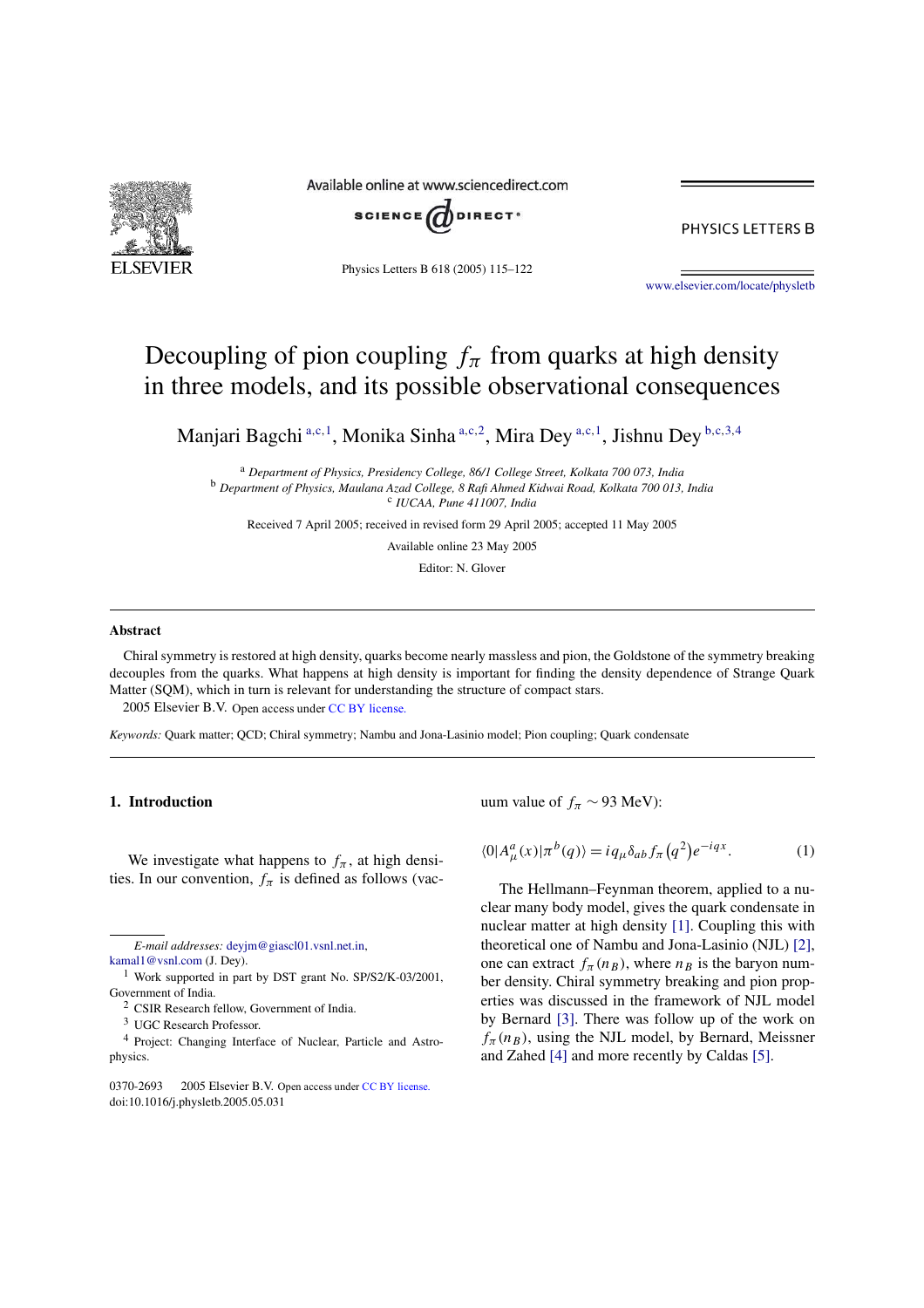

Available online at www.sciencedirect.com



PHYSICS LETTERS B

Physics Letters B 618 (2005) 115–122

www.elsevier.com/locate/physletb

# Decoupling of pion coupling  $f_\pi$  from quarks at high density in three models, and its possible observational consequences

Manjari Bagchi <sup>a,c, 1</sup>, Monika Sinha <sup>a,c, 2</sup>, Mira Dey <sup>a,c, 1</sup>, Jishnu Dey <sup>b,c, 3, 4</sup>

<sup>a</sup> *Department of Physics, Presidency College, 86/1 College Street, Kolkata 700 073, India* <sup>b</sup> *Department of Physics, Maulana Azad College, 8 Rafi Ahmed Kidwai Road, Kolkata 700 013, India* c *IUCAA, Pune 411007, India*

Received 7 April 2005; received in revised form 29 April 2005; accepted 11 May 2005

Available online 23 May 2005

Editor: N. Glover

#### **Abstract**

Chiral symmetry is restored at high density, quarks become nearly massless and pion, the Goldstone of the symmetry breaking decouples from the quarks. What happens at high density is important for finding the density dependence of Strange Quark Matter (SQM), which in turn is relevant for understanding the structure of compact stars.  $© 2005 Elsevier B.V. Open access under CC BY license.$ 

*Keywords:* Quark matter; QCD; Chiral symmetry; Nambu and Jona-Lasinio model; Pion coupling; Quark condensate

# **1. Introduction**

We investigate what happens to  $f_{\pi}$ , at high densities. In our convention,  $f_{\pi}$  is defined as follows (vac-

*E-mail addresses:* deyjm@giascl01.vsnl.net.in,

uum value of  $f_{\pi} \sim 93$  MeV):

$$
\langle 0|A^a_\mu(x)|\pi^b(q)\rangle = i q_\mu \delta_{ab} f_\pi(q^2) e^{-iqx}.
$$
 (1)

The Hellmann–Feynman theorem, applied to a nuclear many body model, gives the quark condensate in nuclear matter at high density [1]. Coupling this with theoretical one of Nambu and Jona-Lasinio (NJL) [2], one can extract  $f_{\pi}(n_B)$ , where  $n_B$  is the baryon number density. Chiral symmetry breaking and pion properties was discussed in the framework of NJL model by Bernard [3]. There was follow up of the work on  $f_{\pi}(n_B)$ , using the NJL model, by Bernard, Meissner and Zahed [4] and more recently by Caldas [5].

kamal1@vsnl.com (J. Dey).

<sup>&</sup>lt;sup>1</sup> Work supported in part by DST grant No. SP/S2/K-03/2001, Government of India.

<sup>2</sup> CSIR Research fellow, Government of India.

<sup>3</sup> UGC Research Professor.

<sup>4</sup> Project: Changing Interface of Nuclear, Particle and Astrophysics.

<sup>0370-2693 © 2005</sup> Elsevier B.V. Open access under CC BY license. doi:10.1016/j.physletb.2005.05.031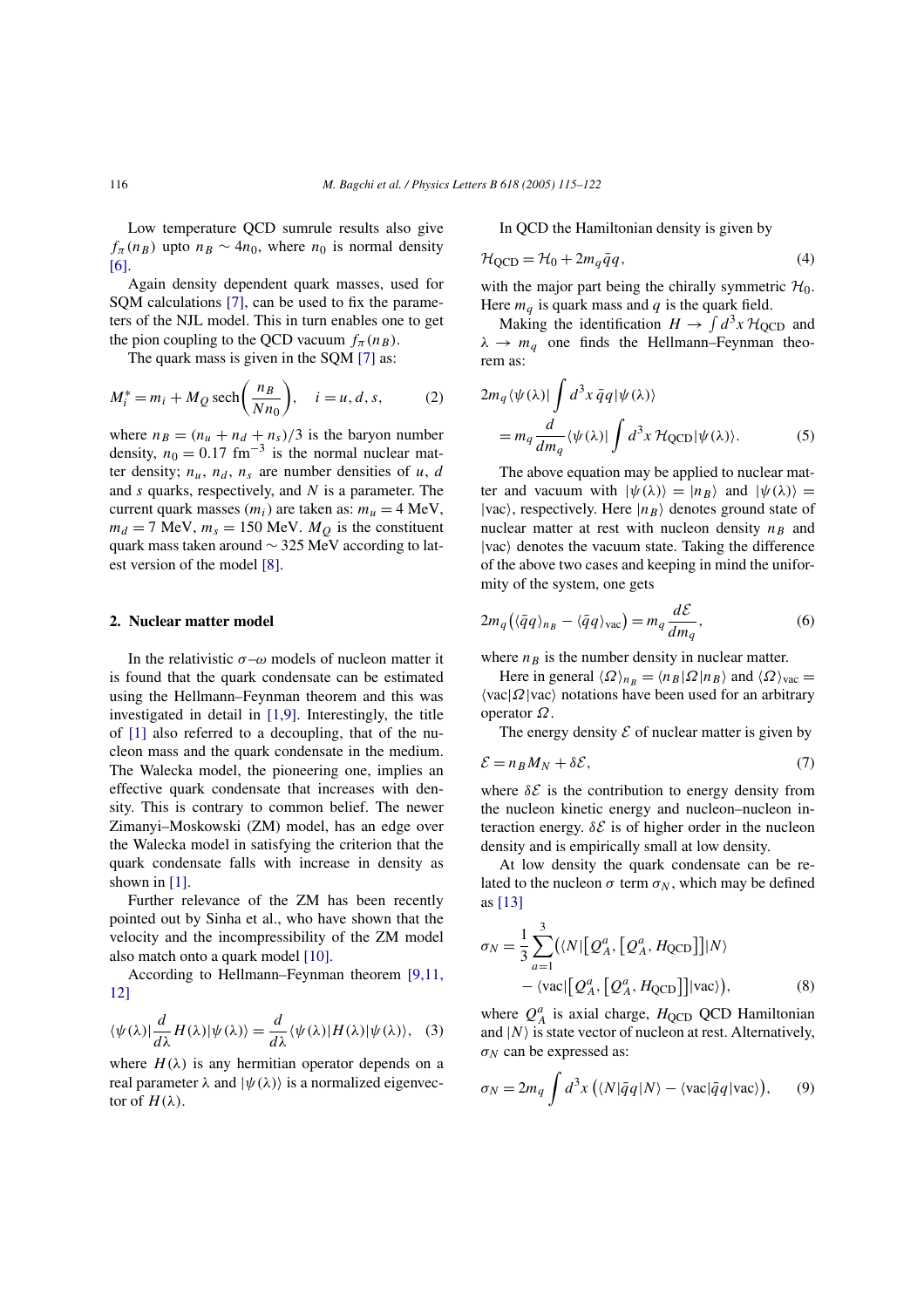Low temperature QCD sumrule results also give  $f_{\pi}(n_B)$  upto  $n_B \sim 4n_0$ , where  $n_0$  is normal density [6].

Again density dependent quark masses, used for SQM calculations [7], can be used to fix the parameters of the NJL model. This in turn enables one to get the pion coupling to the QCD vacuum  $f_{\pi}(n_B)$ .

The quark mass is given in the SQM [7] as:

$$
M_i^* = m_i + M_Q \operatorname{sech}\left(\frac{n_B}{N n_0}\right), \quad i = u, d, s,
$$
 (2)

where  $n_B = (n_u + n_d + n_s)/3$  is the baryon number density,  $n_0 = 0.17$  fm<sup>-3</sup> is the normal nuclear matter density;  $n_u$ ,  $n_d$ ,  $n_s$  are number densities of u, d and  $s$  quarks, respectively, and  $N$  is a parameter. The current quark masses  $(m_i)$  are taken as:  $m_u = 4$  MeV,  $m_d = 7$  MeV,  $m_s = 150$  MeV.  $M_Q$  is the constituent quark mass taken around ∼ 325 MeV according to latest version of the model [8].

#### **2. Nuclear matter model**

In the relativistic  $\sigma-\omega$  models of nucleon matter it is found that the quark condensate can be estimated using the Hellmann–Feynman theorem and this was investigated in detail in [1,9]. Interestingly, the title of [1] also referred to a decoupling, that of the nucleon mass and the quark condensate in the medium. The Walecka model, the pioneering one, implies an effective quark condensate that increases with density. This is contrary to common belief. The newer Zimanyi–Moskowski (ZM) model, has an edge over the Walecka model in satisfying the criterion that the quark condensate falls with increase in density as shown in [1].

Further relevance of the ZM has been recently pointed out by Sinha et al., who have shown that the velocity and the incompressibility of the ZM model also match onto a quark model [10].

According to Hellmann–Feynman theorem [9,11, 12]

$$
\langle \psi(\lambda)| \frac{d}{d\lambda} H(\lambda) | \psi(\lambda) \rangle = \frac{d}{d\lambda} \langle \psi(\lambda) | H(\lambda) | \psi(\lambda) \rangle, \quad (3)
$$

where  $H(\lambda)$  is any hermitian operator depends on a real parameter  $\lambda$  and  $|\psi(\lambda)\rangle$  is a normalized eigenvector of  $H(\lambda)$ .

In QCD the Hamiltonian density is given by

$$
\mathcal{H}_{QCD} = \mathcal{H}_0 + 2m_q \bar{q}q,\tag{4}
$$

with the major part being the chirally symmetric  $\mathcal{H}_0$ . Here  $m_q$  is quark mass and q is the quark field.

Making the identification  $H \to \int d^3x \mathcal{H}_{\text{QCD}}$  and  $\lambda \rightarrow m_q$  one finds the Hellmann–Feynman theorem as:

$$
2m_q \langle \psi(\lambda) | \int d^3x \,\bar{q}q | \psi(\lambda) \rangle
$$
  
=  $m_q \frac{d}{dm_q} \langle \psi(\lambda) | \int d^3x \, \mathcal{H}_{QCD} | \psi(\lambda) \rangle.$  (5)

The above equation may be applied to nuclear matter and vacuum with  $|\psi(\lambda)\rangle=|n_B\rangle$  and  $|\psi(\lambda)\rangle=$  $|vac\rangle$ , respectively. Here  $|n_B\rangle$  denotes ground state of nuclear matter at rest with nucleon density  $n_B$  and  $|vac\rangle$  denotes the vacuum state. Taking the difference of the above two cases and keeping in mind the uniformity of the system, one gets

$$
2m_q(\langle \bar{q}q \rangle_{n_B} - \langle \bar{q}q \rangle_{\text{vac}}) = m_q \frac{d\mathcal{E}}{dm_q},\tag{6}
$$

where  $n_B$  is the number density in nuclear matter.

Here in general  $\langle \Omega \rangle_{n_B} = \langle n_B | \Omega | n_B \rangle$  and  $\langle \Omega \rangle_{\text{vac}} =$  $\langle vac | \Omega | vac \rangle$  notations have been used for an arbitrary operator Ω.

The energy density  $\mathcal E$  of nuclear matter is given by

$$
\mathcal{E} = n_B M_N + \delta \mathcal{E},\tag{7}
$$

where  $\delta \mathcal{E}$  is the contribution to energy density from the nucleon kinetic energy and nucleon–nucleon interaction energy.  $\delta \mathcal{E}$  is of higher order in the nucleon density and is empirically small at low density.

At low density the quark condensate can be related to the nucleon  $\sigma$  term  $\sigma_N$ , which may be defined as [13]

$$
\sigma_N = \frac{1}{3} \sum_{a=1}^3 (\langle N | [\mathcal{Q}_A^a, [\mathcal{Q}_A^a, H_{\text{QCD}}]] | N \rangle
$$
  
 
$$
- \langle \text{vac} | [\mathcal{Q}_A^a, [\mathcal{Q}_A^a, H_{\text{QCD}}]] | \text{vac} \rangle), \tag{8}
$$

where  $Q_A^a$  is axial charge,  $H_{\text{QCD}}$  QCD Hamiltonian and  $|N\rangle$  is state vector of nucleon at rest. Alternatively,  $\sigma_N$  can be expressed as:

$$
\sigma_N = 2m_q \int d^3x \left( \langle N|\bar{q}q|N \rangle - \langle \text{vac}|\bar{q}q|\text{vac} \rangle \right), \qquad (9)
$$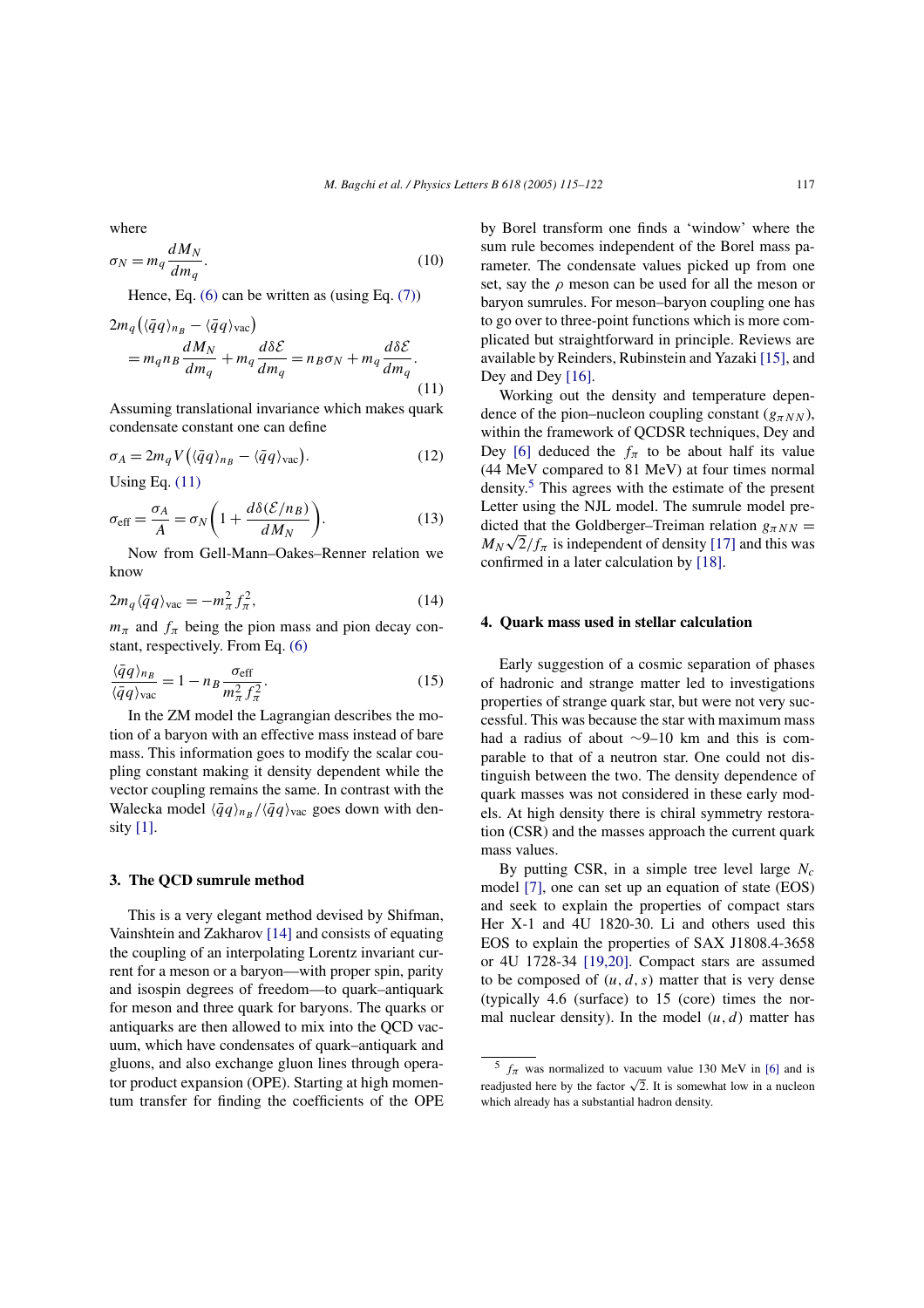where

$$
\sigma_N = m_q \frac{dM_N}{dm_q}.\tag{10}
$$

Hence, Eq.  $(6)$  can be written as  $(using Eq. (7))$ 

$$
2m_q(\langle \bar{q}q \rangle_{n_B} - \langle \bar{q}q \rangle_{\text{vac}})
$$
  
=  $m_q n_B \frac{dM_N}{dm_q} + m_q \frac{d\delta \mathcal{E}}{dm_q} = n_B \sigma_N + m_q \frac{d\delta \mathcal{E}}{dm_q}.$  (11)

Assuming translational invariance which makes quark condensate constant one can define

$$
\sigma_A = 2m_q V \left( \langle \bar{q}q \rangle_{n_B} - \langle \bar{q}q \rangle_{\text{vac}} \right). \tag{12}
$$

Using Eq. (11)

$$
\sigma_{\text{eff}} = \frac{\sigma_A}{A} = \sigma_N \left( 1 + \frac{d\delta(\mathcal{E}/n_B)}{dM_N} \right). \tag{13}
$$

Now from Gell-Mann–Oakes–Renner relation we know

$$
2m_q \langle \bar{q}q \rangle_{\text{vac}} = -m_\pi^2 f_\pi^2,\tag{14}
$$

 $m_{\pi}$  and  $f_{\pi}$  being the pion mass and pion decay constant, respectively. From Eq. (6)

$$
\frac{\langle \bar{q}q \rangle_{n_B}}{\langle \bar{q}q \rangle_{\text{vac}}} = 1 - n_B \frac{\sigma_{\text{eff}}}{m_{\pi}^2 f_{\pi}^2}.
$$
 (15)

In the ZM model the Lagrangian describes the motion of a baryon with an effective mass instead of bare mass. This information goes to modify the scalar coupling constant making it density dependent while the vector coupling remains the same. In contrast with the Walecka model  $\langle \bar{q}q \rangle_{ng} / \langle \bar{q}q \rangle_{vac}$  goes down with density [1].

#### **3. The QCD sumrule method**

This is a very elegant method devised by Shifman, Vainshtein and Zakharov [14] and consists of equating the coupling of an interpolating Lorentz invariant current for a meson or a baryon—with proper spin, parity and isospin degrees of freedom—to quark–antiquark for meson and three quark for baryons. The quarks or antiquarks are then allowed to mix into the QCD vacuum, which have condensates of quark–antiquark and gluons, and also exchange gluon lines through operator product expansion (OPE). Starting at high momentum transfer for finding the coefficients of the OPE by Borel transform one finds a 'window' where the sum rule becomes independent of the Borel mass parameter. The condensate values picked up from one set, say the  $\rho$  meson can be used for all the meson or baryon sumrules. For meson–baryon coupling one has to go over to three-point functions which is more complicated but straightforward in principle. Reviews are available by Reinders, Rubinstein and Yazaki [15], and Dey and Dey [16].

Working out the density and temperature dependence of the pion–nucleon coupling constant  $(g_{\pi NN})$ , within the framework of QCDSR techniques, Dey and Dey [6] deduced the  $f_{\pi}$  to be about half its value (44 MeV compared to 81 MeV) at four times normal density.<sup>5</sup> This agrees with the estimate of the present Letter using the NJL model. The sumrule model predicted that the Goldberger–Treiman relation  $g_{\pi NN}$  =  $M_N\sqrt{2}/f_\pi$  is independent of density [17] and this was confirmed in a later calculation by [18].

# **4. Quark mass used in stellar calculation**

Early suggestion of a cosmic separation of phases of hadronic and strange matter led to investigations properties of strange quark star, but were not very successful. This was because the star with maximum mass had a radius of about ∼9–10 km and this is comparable to that of a neutron star. One could not distinguish between the two. The density dependence of quark masses was not considered in these early models. At high density there is chiral symmetry restoration (CSR) and the masses approach the current quark mass values.

By putting CSR, in a simple tree level large  $N_c$ model [7], one can set up an equation of state (EOS) and seek to explain the properties of compact stars Her X-1 and 4U 1820-30. Li and others used this EOS to explain the properties of SAX J1808.4-3658 or 4U 1728-34 [19,20]. Compact stars are assumed to be composed of  $(u, d, s)$  matter that is very dense (typically 4.6 (surface) to 15 (core) times the normal nuclear density). In the model  $(u, d)$  matter has

 $f_{\pi}$  was normalized to vacuum value 130 MeV in [6] and is readjusted here by the factor  $\sqrt{2}$ . It is somewhat low in a nucleon which already has a substantial hadron density.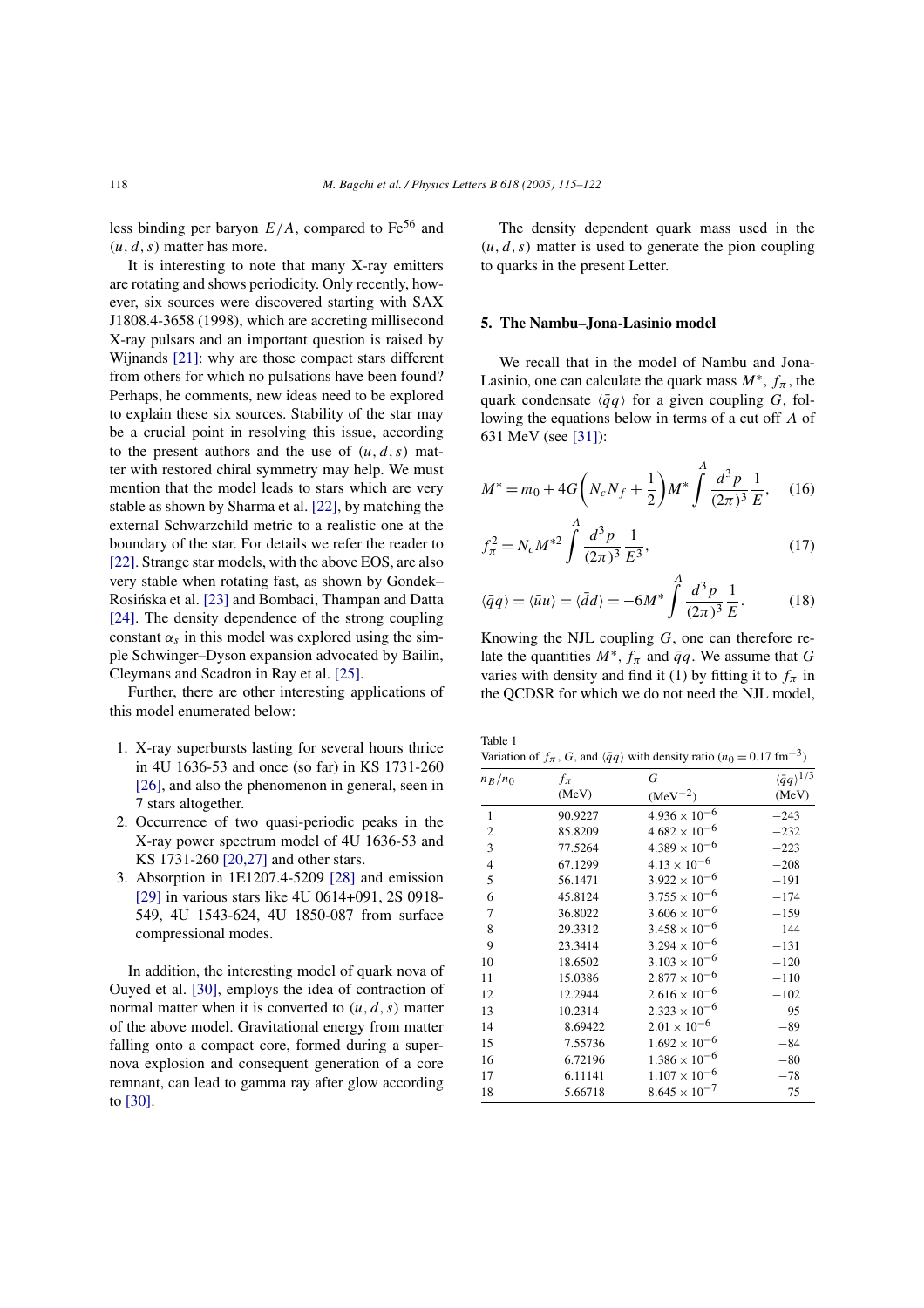less binding per baryon  $E/A$ , compared to  $Fe<sup>56</sup>$  and  $(u, d, s)$  matter has more.

It is interesting to note that many X-ray emitters are rotating and shows periodicity. Only recently, however, six sources were discovered starting with SAX J1808.4-3658 (1998), which are accreting millisecond X-ray pulsars and an important question is raised by Wijnands [21]: why are those compact stars different from others for which no pulsations have been found? Perhaps, he comments, new ideas need to be explored to explain these six sources. Stability of the star may be a crucial point in resolving this issue, according to the present authors and the use of  $(u, d, s)$  matter with restored chiral symmetry may help. We must mention that the model leads to stars which are very stable as shown by Sharma et al. [22], by matching the external Schwarzchild metric to a realistic one at the boundary of the star. For details we refer the reader to [22]. Strange star models, with the above EOS, are also very stable when rotating fast, as shown by Gondek– Rosińska et al. [23] and Bombaci, Thampan and Datta [24]. The density dependence of the strong coupling constant  $\alpha_s$  in this model was explored using the simple Schwinger–Dyson expansion advocated by Bailin, Cleymans and Scadron in Ray et al. [25].

Further, there are other interesting applications of this model enumerated below:

- 1. X-ray superbursts lasting for several hours thrice in 4U 1636-53 and once (so far) in KS 1731-260 [26], and also the phenomenon in general, seen in 7 stars altogether.
- 2. Occurrence of two quasi-periodic peaks in the X-ray power spectrum model of 4U 1636-53 and KS 1731-260 [20,27] and other stars.
- 3. Absorption in 1E1207.4-5209 [28] and emission [29] in various stars like 4U 0614+091, 2S 0918- 549, 4U 1543-624, 4U 1850-087 from surface compressional modes.

In addition, the interesting model of quark nova of Ouyed et al. [30], employs the idea of contraction of normal matter when it is converted to  $(u, d, s)$  matter of the above model. Gravitational energy from matter falling onto a compact core, formed during a supernova explosion and consequent generation of a core remnant, can lead to gamma ray after glow according to [30].

The density dependent quark mass used in the  $(u, d, s)$  matter is used to generate the pion coupling to quarks in the present Letter.

#### **5. The Nambu–Jona-Lasinio model**

We recall that in the model of Nambu and Jona-Lasinio, one can calculate the quark mass  $M^*$ ,  $f_{\pi}$ , the quark condensate  $\langle \bar{q}q \rangle$  for a given coupling G, following the equations below in terms of a cut off Λ of 631 MeV (see [31]):

$$
M^* = m_0 + 4G\left(N_c N_f + \frac{1}{2}\right)M^*\int^A \frac{d^3p}{(2\pi)^3}\frac{1}{E}, \quad (16)
$$

$$
f_{\pi}^{2} = N_{c} M^{*2} \int \frac{d^{3} p}{(2\pi)^{3}} \frac{1}{E^{3}},
$$
 (17)

$$
\langle \bar{q}q \rangle = \langle \bar{u}u \rangle = \langle \bar{d}d \rangle = -6M^* \int \frac{d^3p}{(2\pi)^3} \frac{1}{E}.
$$
 (18)

Knowing the NJL coupling  $G$ , one can therefore relate the quantities  $M^*$ ,  $f_{\pi}$  and  $\bar{q}q$ . We assume that G varies with density and find it (1) by fitting it to  $f_{\pi}$  in the QCDSR for which we do not need the NJL model,

Table 1

|  | Variation of $f_{\pi}$ , G, and $\langle \bar{q}q \rangle$ with density ratio ( $n_0 = 0.17$ fm <sup>-3</sup> ) |
|--|-----------------------------------------------------------------------------------------------------------------|
|--|-----------------------------------------------------------------------------------------------------------------|

| $n_R/n_0$      | $f_{\pi}$ | G                      | $\langle \bar{q}q \rangle^{1/3}$ |  |
|----------------|-----------|------------------------|----------------------------------|--|
|                | (MeV)     | $(MeV^{-2})$           | (MeV)                            |  |
| 1              | 90.9227   | $4.936 \times 10^{-6}$ | $-243$                           |  |
| 2              | 85.8209   | $4.682 \times 10^{-6}$ | $-232$                           |  |
| 3              | 77.5264   | $4.389 \times 10^{-6}$ | $-223$                           |  |
| $\overline{4}$ | 67.1299   | $4.13 \times 10^{-6}$  | $-208$                           |  |
| 5              | 56.1471   | $3.922 \times 10^{-6}$ | $-191$                           |  |
| 6              | 45.8124   | $3.755 \times 10^{-6}$ | $-174$                           |  |
| 7              | 36.8022   | $3.606 \times 10^{-6}$ | $-159$                           |  |
| 8              | 29.3312   | $3.458 \times 10^{-6}$ | $-144$                           |  |
| 9              | 23.3414   | $3.294 \times 10^{-6}$ | $-131$                           |  |
| 10             | 18.6502   | $3.103 \times 10^{-6}$ | $-120$                           |  |
| 11             | 15.0386   | $2.877 \times 10^{-6}$ | $-110$                           |  |
| 12             | 12.2944   | $2.616 \times 10^{-6}$ | $-102$                           |  |
| 13             | 10.2314   | $2.323 \times 10^{-6}$ | $-95$                            |  |
| 14             | 8.69422   | $2.01 \times 10^{-6}$  | $-89$                            |  |
| 15             | 7.55736   | $1.692 \times 10^{-6}$ | $-84$                            |  |
| 16             | 6.72196   | $1.386 \times 10^{-6}$ | $-80$                            |  |
| 17             | 6.11141   | $1.107 \times 10^{-6}$ | $-78$                            |  |
| 18             | 5.66718   | $8.645 \times 10^{-7}$ | $-75$                            |  |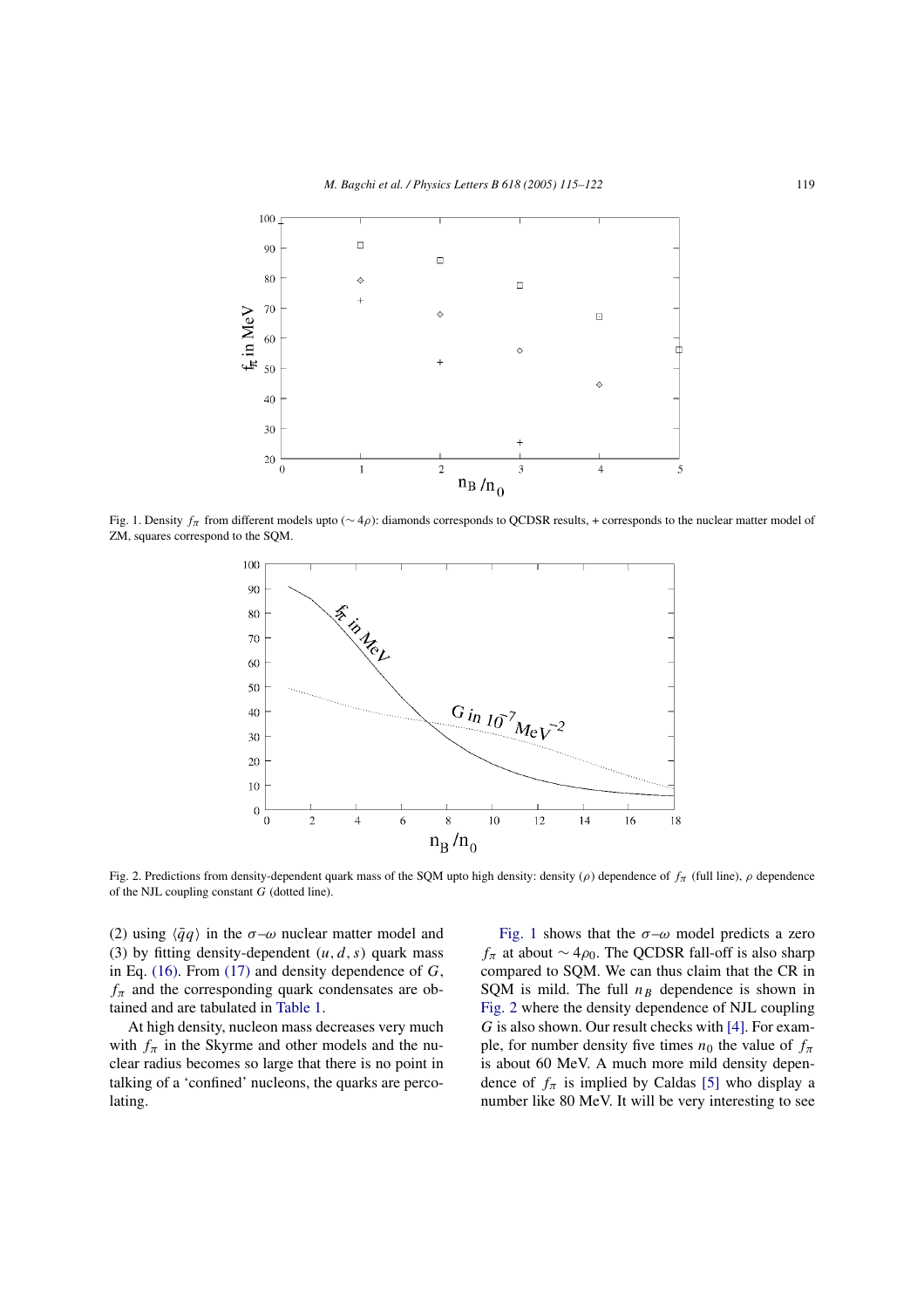

Fig. 1. Density  $f_\pi$  from different models upto (∼ 4ρ): diamonds corresponds to QCDSR results, + corresponds to the nuclear matter model of ZM, squares correspond to the SQM.



Fig. 2. Predictions from density-dependent quark mass of the SQM upto high density: density ( $\rho$ ) dependence of  $f_\pi$  (full line),  $\rho$  dependence of the NJL coupling constant G (dotted line).

(2) using  $\langle \bar{q}q \rangle$  in the  $\sigma-\omega$  nuclear matter model and (3) by fitting density-dependent  $(u, d, s)$  quark mass in Eq. (16). From (17) and density dependence of  $G$ ,  $f_{\pi}$  and the corresponding quark condensates are obtained and are tabulated in Table 1.

At high density, nucleon mass decreases very much with  $f_{\pi}$  in the Skyrme and other models and the nuclear radius becomes so large that there is no point in talking of a 'confined' nucleons, the quarks are percolating.

Fig. 1 shows that the  $\sigma-\omega$  model predicts a zero  $f_{\pi}$  at about ~ 4 $\rho_0$ . The QCDSR fall-off is also sharp compared to SQM. We can thus claim that the CR in SQM is mild. The full  $n_B$  dependence is shown in Fig. 2 where the density dependence of NJL coupling G is also shown. Our result checks with [4]. For example, for number density five times  $n_0$  the value of  $f_\pi$ is about 60 MeV. A much more mild density dependence of  $f_{\pi}$  is implied by Caldas [5] who display a number like 80 MeV. It will be very interesting to see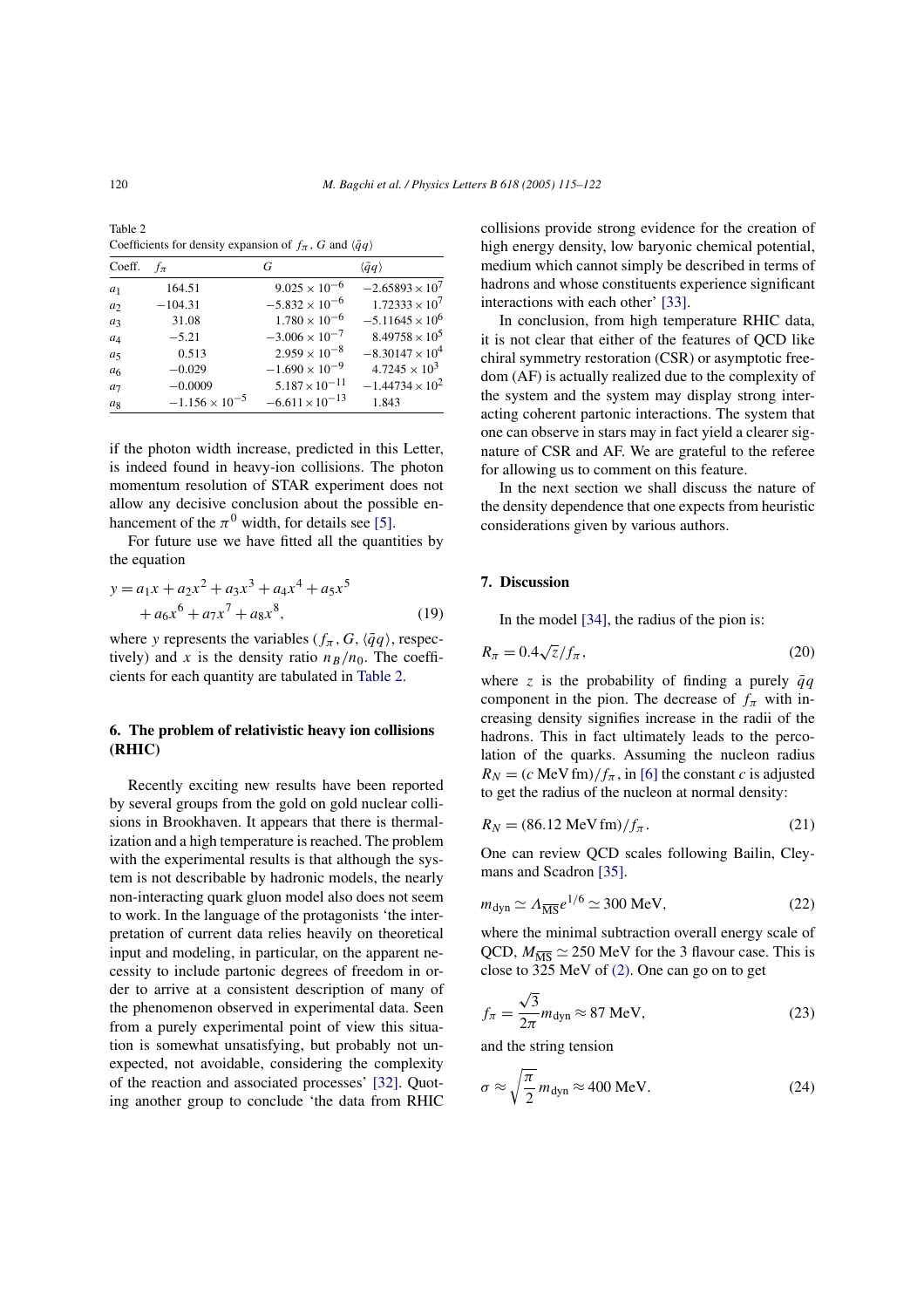Table 2 Coefficients for density expansion of  $f_{\pi}$ , G and  $\langle \bar{q}q \rangle$ 

| Coeff.         | $f_{\pi}$               | G                        | $\langle \bar{q}q \rangle$ |
|----------------|-------------------------|--------------------------|----------------------------|
| $a_1$          | 164.51                  | $9.025 \times 10^{-6}$   | $-2.65893 \times 10^{7}$   |
| a <sub>2</sub> | $-104.31$               | $-5.832 \times 10^{-6}$  | $1.72333 \times 10^7$      |
| $a_3$          | 31.08                   | $1.780 \times 10^{-6}$   | $-5.11645 \times 10^{6}$   |
| $a_4$          | $-5.21$                 | $-3.006 \times 10^{-7}$  | $8.49758 \times 10^5$      |
| $a_5$          | 0.513                   | $2.959 \times 10^{-8}$   | $-8.30147 \times 10^{4}$   |
| a <sub>6</sub> | $-0.029$                | $-1.690 \times 10^{-9}$  | $4.7245 \times 10^3$       |
| a <sub>7</sub> | $-0.0009$               | $5.187 \times 10^{-11}$  | $-1.44734 \times 10^{2}$   |
| $a_8$          | $-1.156 \times 10^{-5}$ | $-6.611 \times 10^{-13}$ | 1.843                      |

if the photon width increase, predicted in this Letter, is indeed found in heavy-ion collisions. The photon momentum resolution of STAR experiment does not allow any decisive conclusion about the possible enhancement of the  $\pi^0$  width, for details see [5].

For future use we have fitted all the quantities by the equation

$$
y = a_1 x + a_2 x^2 + a_3 x^3 + a_4 x^4 + a_5 x^5
$$
  
+  $a_6 x^6 + a_7 x^7 + a_8 x^8$ , (19)

where y represents the variables  $(f_{\pi}, G, \langle \bar{q}q \rangle)$ , respectively) and x is the density ratio  $n_B/n_0$ . The coefficients for each quantity are tabulated in Table 2.

# **6. The problem of relativistic heavy ion collisions (RHIC)**

Recently exciting new results have been reported by several groups from the gold on gold nuclear collisions in Brookhaven. It appears that there is thermalization and a high temperature is reached. The problem with the experimental results is that although the system is not describable by hadronic models, the nearly non-interacting quark gluon model also does not seem to work. In the language of the protagonists 'the interpretation of current data relies heavily on theoretical input and modeling, in particular, on the apparent necessity to include partonic degrees of freedom in order to arrive at a consistent description of many of the phenomenon observed in experimental data. Seen from a purely experimental point of view this situation is somewhat unsatisfying, but probably not unexpected, not avoidable, considering the complexity of the reaction and associated processes' [32]. Quoting another group to conclude 'the data from RHIC collisions provide strong evidence for the creation of high energy density, low baryonic chemical potential, medium which cannot simply be described in terms of hadrons and whose constituents experience significant interactions with each other' [33].

In conclusion, from high temperature RHIC data, it is not clear that either of the features of QCD like chiral symmetry restoration (CSR) or asymptotic freedom (AF) is actually realized due to the complexity of the system and the system may display strong interacting coherent partonic interactions. The system that one can observe in stars may in fact yield a clearer signature of CSR and AF. We are grateful to the referee for allowing us to comment on this feature.

In the next section we shall discuss the nature of the density dependence that one expects from heuristic considerations given by various authors.

#### **7. Discussion**

In the model [34], the radius of the pion is:

$$
R_{\pi} = 0.4\sqrt{z}/f_{\pi},\tag{20}
$$

where z is the probability of finding a purely  $\bar{q}q$ component in the pion. The decrease of  $f_{\pi}$  with increasing density signifies increase in the radii of the hadrons. This in fact ultimately leads to the percolation of the quarks. Assuming the nucleon radius  $R_N = (c \text{ MeV fm})/f_\pi$ , in [6] the constant c is adjusted to get the radius of the nucleon at normal density:

$$
R_N = (86.12 \text{ MeV fm}) / f_\pi. \tag{21}
$$

One can review QCD scales following Bailin, Cleymans and Scadron [35].

$$
m_{\rm dyn} \simeq \Lambda_{\overline{\rm MS}} e^{1/6} \simeq 300 \text{ MeV},\tag{22}
$$

where the minimal subtraction overall energy scale of QCD,  $M_{\overline{\text{MS}}} \simeq 250 \text{ MeV}$  for the 3 flavour case. This is close to 325 MeV of (2). One can go on to get

$$
f_{\pi} = \frac{\sqrt{3}}{2\pi} m_{\text{dyn}} \approx 87 \text{ MeV},\tag{23}
$$

and the string tension

$$
\sigma \approx \sqrt{\frac{\pi}{2}} m_{\rm dyn} \approx 400 \text{ MeV}.
$$
 (24)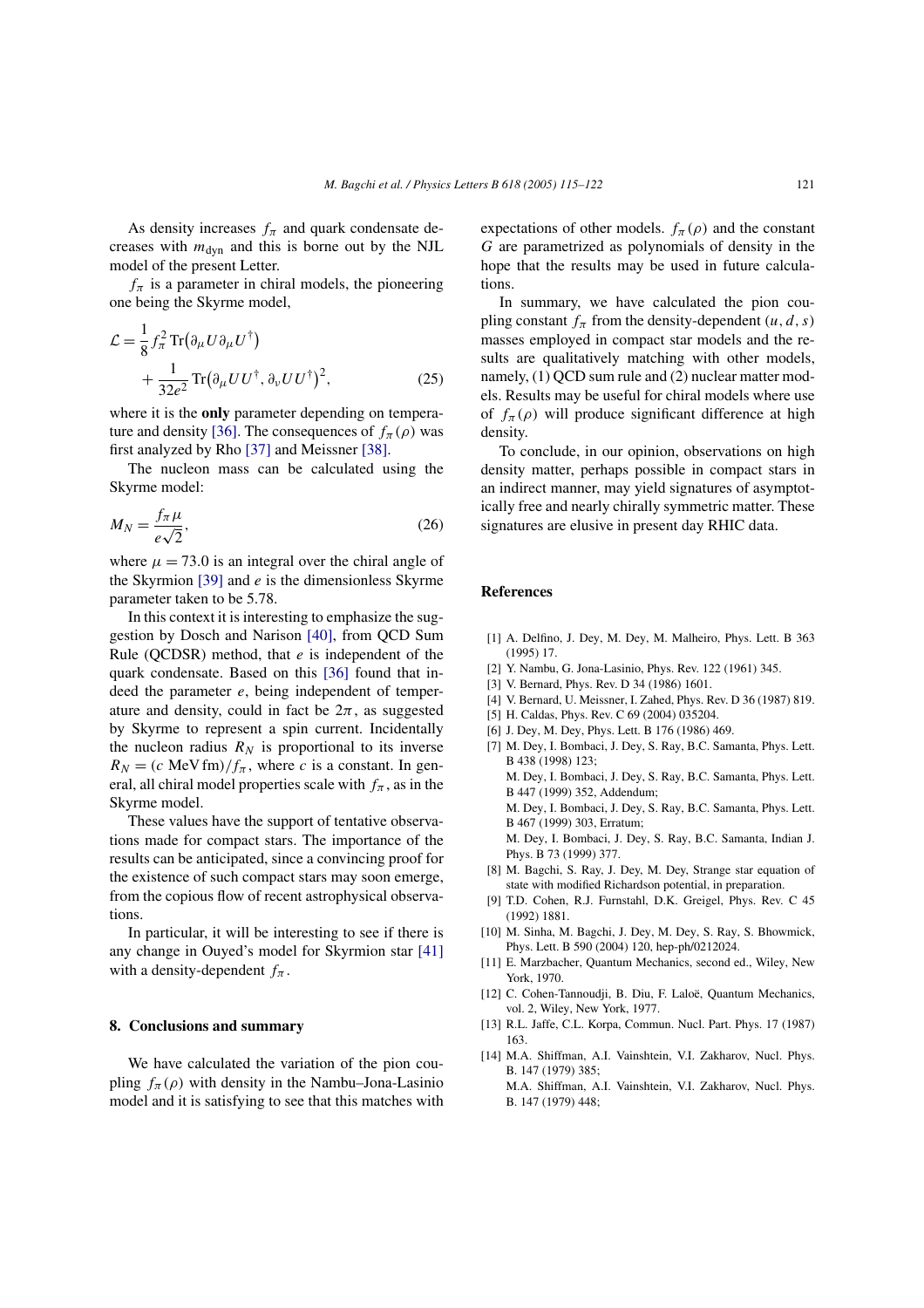As density increases  $f_{\pi}$  and quark condensate decreases with  $m_{dyn}$  and this is borne out by the NJL model of the present Letter.

 $f_{\pi}$  is a parameter in chiral models, the pioneering one being the Skyrme model,

$$
\mathcal{L} = \frac{1}{8} f_{\pi}^2 \text{Tr} (\partial_{\mu} U \partial_{\mu} U^{\dagger}) + \frac{1}{32e^2} \text{Tr} (\partial_{\mu} U U^{\dagger}, \partial_{\nu} U U^{\dagger})^2, \qquad (25)
$$

where it is the **only** parameter depending on temperature and density [36]. The consequences of  $f_{\pi}(\rho)$  was first analyzed by Rho [37] and Meissner [38].

The nucleon mass can be calculated using the Skyrme model:

$$
M_N = \frac{f_\pi \mu}{e\sqrt{2}},\tag{26}
$$

where  $\mu = 73.0$  is an integral over the chiral angle of the Skyrmion  $[39]$  and  $e$  is the dimensionless Skyrme parameter taken to be 5.78.

In this context it is interesting to emphasize the suggestion by Dosch and Narison [40], from QCD Sum Rule (OCDSR) method, that  $e$  is independent of the quark condensate. Based on this [36] found that indeed the parameter  $e$ , being independent of temperature and density, could in fact be  $2\pi$ , as suggested by Skyrme to represent a spin current. Incidentally the nucleon radius  $R_N$  is proportional to its inverse  $R_N = (c \text{ MeV fm})/f_\pi$ , where c is a constant. In general, all chiral model properties scale with  $f_{\pi}$ , as in the Skyrme model.

These values have the support of tentative observations made for compact stars. The importance of the results can be anticipated, since a convincing proof for the existence of such compact stars may soon emerge, from the copious flow of recent astrophysical observations.

In particular, it will be interesting to see if there is any change in Ouyed's model for Skyrmion star [41] with a density-dependent  $f_{\pi}$ .

## **8. Conclusions and summary**

We have calculated the variation of the pion coupling  $f_{\pi}(\rho)$  with density in the Nambu–Jona-Lasinio model and it is satisfying to see that this matches with

expectations of other models.  $f_{\pi}(\rho)$  and the constant G are parametrized as polynomials of density in the hope that the results may be used in future calculations.

In summary, we have calculated the pion coupling constant  $f_{\pi}$  from the density-dependent  $(u, d, s)$ masses employed in compact star models and the results are qualitatively matching with other models, namely, (1) QCD sum rule and (2) nuclear matter models. Results may be useful for chiral models where use of  $f_{\pi}(\rho)$  will produce significant difference at high density.

To conclude, in our opinion, observations on high density matter, perhaps possible in compact stars in an indirect manner, may yield signatures of asymptotically free and nearly chirally symmetric matter. These signatures are elusive in present day RHIC data.

## **References**

- [1] A. Delfino, J. Dey, M. Dey, M. Malheiro, Phys. Lett. B 363 (1995) 17.
- [2] Y. Nambu, G. Jona-Lasinio, Phys. Rev. 122 (1961) 345.
- [3] V. Bernard, Phys. Rev. D 34 (1986) 1601.
- [4] V. Bernard, U. Meissner, I. Zahed, Phys. Rev. D 36 (1987) 819.
- [5] H. Caldas, Phys. Rev. C 69 (2004) 035204.
- [6] J. Dey, M. Dey, Phys. Lett. B 176 (1986) 469.
- [7] M. Dey, I. Bombaci, J. Dey, S. Ray, B.C. Samanta, Phys. Lett. B 438 (1998) 123; M. Dey, I. Bombaci, J. Dey, S. Ray, B.C. Samanta, Phys. Lett. B 447 (1999) 352, Addendum; M. Dey, I. Bombaci, J. Dey, S. Ray, B.C. Samanta, Phys. Lett. B 467 (1999) 303, Erratum; M. Dey, I. Bombaci, J. Dey, S. Ray, B.C. Samanta, Indian J. Phys. B 73 (1999) 377.
- [8] M. Bagchi, S. Ray, J. Dey, M. Dey, Strange star equation of state with modified Richardson potential, in preparation.
- [9] T.D. Cohen, R.J. Furnstahl, D.K. Greigel, Phys. Rev. C 45 (1992) 1881.
- [10] M. Sinha, M. Bagchi, J. Dey, M. Dey, S. Ray, S. Bhowmick, Phys. Lett. B 590 (2004) 120, hep-ph/0212024.
- [11] E. Marzbacher, Quantum Mechanics, second ed., Wiley, New York, 1970.
- [12] C. Cohen-Tannoudji, B. Diu, F. Laloë, Quantum Mechanics, vol. 2, Wiley, New York, 1977.
- [13] R.L. Jaffe, C.L. Korpa, Commun. Nucl. Part. Phys. 17 (1987) 163.
- [14] M.A. Shiffman, A.I. Vainshtein, V.I. Zakharov, Nucl. Phys. B. 147 (1979) 385; M.A. Shiffman, A.I. Vainshtein, V.I. Zakharov, Nucl. Phys. B. 147 (1979) 448;